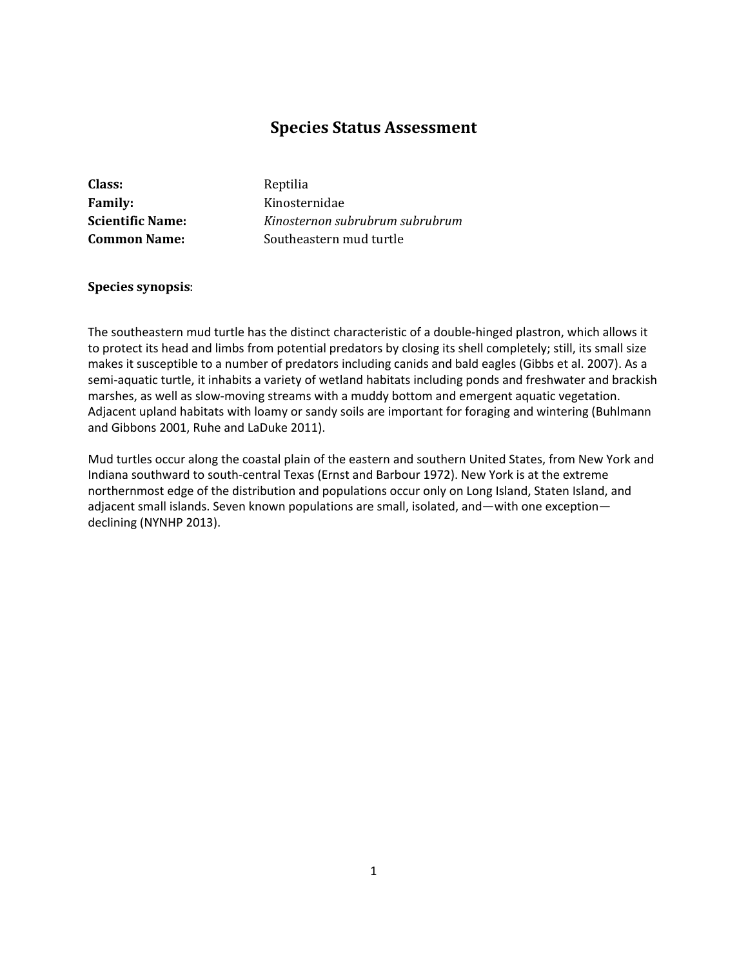# **Species Status Assessment**

| Class:                  | Reptilia                        |
|-------------------------|---------------------------------|
| <b>Family:</b>          | Kinosternidae                   |
| <b>Scientific Name:</b> | Kinosternon subrubrum subrubrum |
| <b>Common Name:</b>     | Southeastern mud turtle         |
|                         |                                 |

#### **Species synopsis**:

The southeastern mud turtle has the distinct characteristic of a double-hinged plastron, which allows it to protect its head and limbs from potential predators by closing its shell completely; still, its small size makes it susceptible to a number of predators including canids and bald eagles (Gibbs et al. 2007). As a semi-aquatic turtle, it inhabits a variety of wetland habitats including ponds and freshwater and brackish marshes, as well as slow-moving streams with a muddy bottom and emergent aquatic vegetation. Adjacent upland habitats with loamy or sandy soils are important for foraging and wintering (Buhlmann and Gibbons 2001, Ruhe and LaDuke 2011).

Mud turtles occur along the coastal plain of the eastern and southern United States, from New York and Indiana southward to south-central Texas (Ernst and Barbour 1972). New York is at the extreme northernmost edge of the distribution and populations occur only on Long Island, Staten Island, and adjacent small islands. Seven known populations are small, isolated, and—with one exception declining (NYNHP 2013).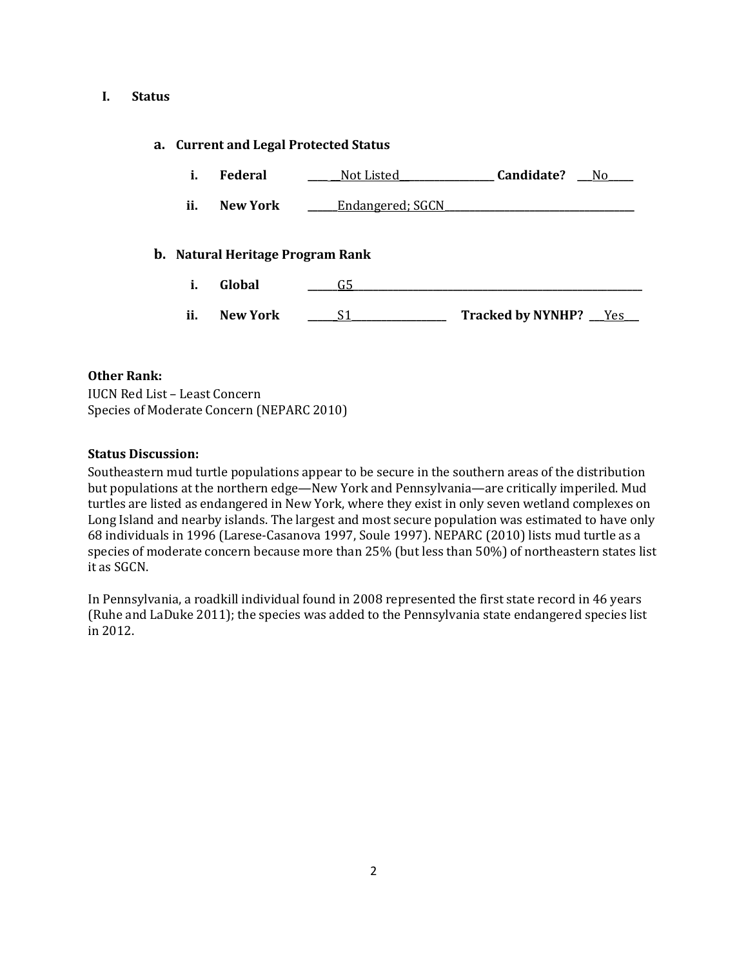### **I. Status**

### **a. Current and Legal Protected Status**

- **i. Federal \_\_\_\_ \_\_**Not Listed**\_\_\_\_\_\_\_\_\_\_\_\_\_\_\_\_\_\_\_ Candidate? \_\_\_**No**\_\_\_\_\_**
- **ii. New York Leadangered**; SGCN

### **b. Natural Heritage Program Rank**

- **i. Global \_\_\_\_\_\_**G5**\_\_\_\_\_\_\_\_\_\_\_\_\_\_\_\_\_\_\_\_\_\_\_\_\_\_\_\_\_\_\_\_\_\_\_\_\_\_\_\_\_\_\_\_\_\_\_\_\_\_\_\_\_\_\_\_\_\_**
- **ii. New York \_\_\_\_\_\_**S1**\_\_\_\_\_\_\_\_\_\_\_\_\_\_\_\_\_\_\_ Tracked by NYNHP? \_\_\_**Yes**\_\_\_**

### **Other Rank:**

IUCN Red List – Least Concern Species of Moderate Concern (NEPARC 2010)

### **Status Discussion:**

Southeastern mud turtle populations appear to be secure in the southern areas of the distribution but populations at the northern edge—New York and Pennsylvania—are critically imperiled. Mud turtles are listed as endangered in New York, where they exist in only seven wetland complexes on Long Island and nearby islands. The largest and most secure population was estimated to have only 68 individuals in 1996 (Larese-Casanova 1997, Soule 1997). NEPARC (2010) lists mud turtle as a species of moderate concern because more than 25% (but less than 50%) of northeastern states list it as SGCN.

In Pennsylvania, a roadkill individual found in 2008 represented the first state record in 46 years (Ruhe and LaDuke 2011); the species was added to the Pennsylvania state endangered species list in 2012.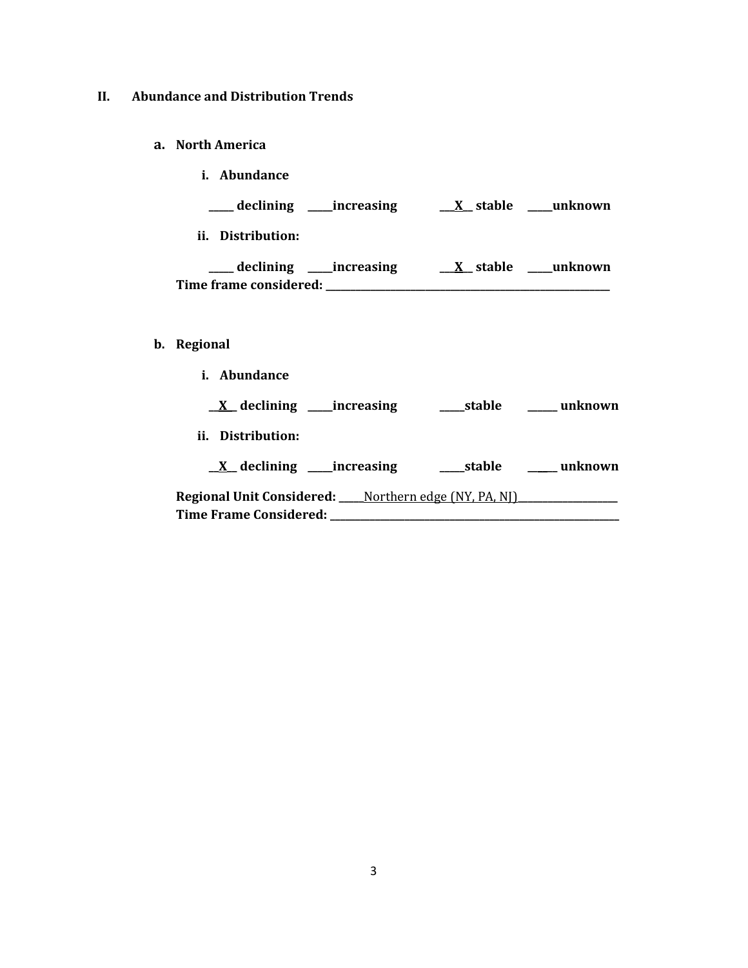# **II. Abundance and Distribution Trends**

- **a. North America**
	- **i. Abundance**

| declining | increasing | X stable | unknown |
|-----------|------------|----------|---------|
|           |            |          |         |

**ii. Distribution:**

|                        | declining ______increasing | X stable | unknown |
|------------------------|----------------------------|----------|---------|
| Time frame considered: |                            |          |         |

# **b. Regional**

| i.<br>Abundance                                                                                                 |            |         |
|-----------------------------------------------------------------------------------------------------------------|------------|---------|
| $X$ declining ______ increasing                                                                                 | stable     | unknown |
| ii. Distribution:                                                                                               |            |         |
| $X$ declining ______ increasing                                                                                 | ____stable | unknown |
| <b>Regional Unit Considered:</b> ____ Northern edge (NY, PA, NI) _____________<br><b>Time Frame Considered:</b> |            |         |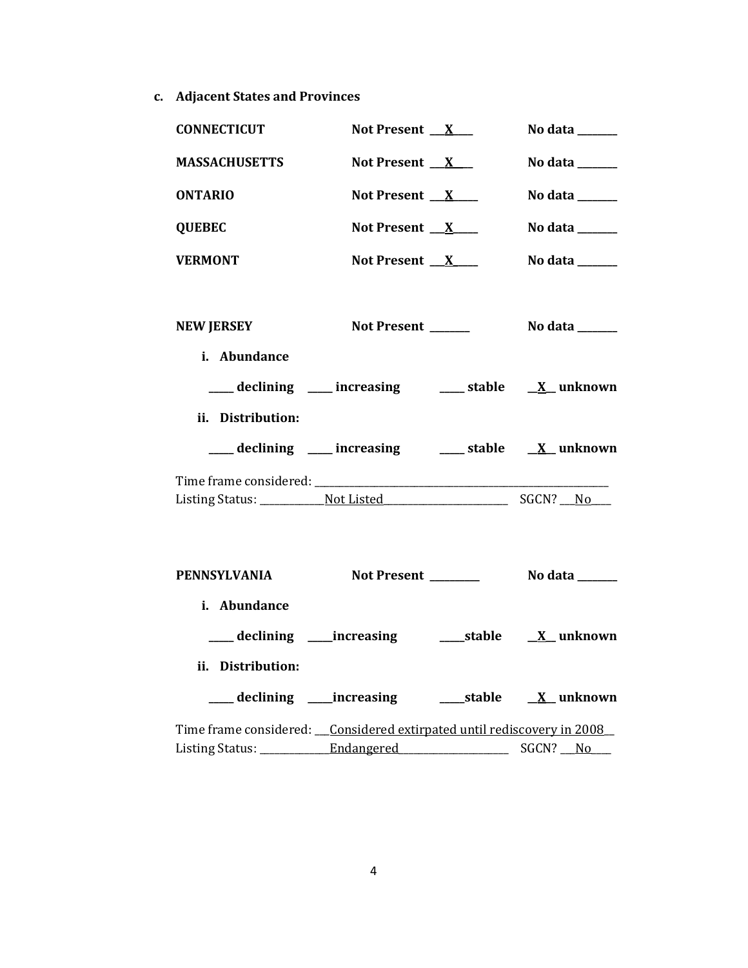**c. Adjacent States and Provinces**

| <b>CONNECTICUT</b>                                                       | Not Present $X_{-}$                                      | No data $\frac{1}{\sqrt{1-\frac{1}{2}}\cdot\frac{1}{\sqrt{1-\frac{1}{2}}}}$ |
|--------------------------------------------------------------------------|----------------------------------------------------------|-----------------------------------------------------------------------------|
| <b>MASSACHUSETTS</b>                                                     | Not Present $X$                                          | No data ______                                                              |
| <b>ONTARIO</b>                                                           | Not Present $X$                                          | No data ______                                                              |
| <b>QUEBEC</b>                                                            | Not Present $X$                                          | No data ______                                                              |
| <b>VERMONT</b>                                                           | Not Present $X$                                          | No data ______                                                              |
| <b>NEW JERSEY</b><br>i. Abundance                                        | Not Present ______                                       | No data _______                                                             |
|                                                                          | ___ declining ___ increasing ___ stable __ X_ unknown    |                                                                             |
| ii. Distribution:                                                        |                                                          |                                                                             |
|                                                                          | ___ declining ___ increasing ___ stable __ X_ unknown    |                                                                             |
|                                                                          |                                                          |                                                                             |
|                                                                          |                                                          |                                                                             |
| PENNSYLVANIA                                                             |                                                          |                                                                             |
| i. Abundance                                                             |                                                          |                                                                             |
|                                                                          | ___ declining ____increasing ______stable ___ X__unknown |                                                                             |
| ii. Distribution:                                                        |                                                          |                                                                             |
|                                                                          | ___ declining ____increasing ______stable ___ X__unknown |                                                                             |
| Time frame considered: __Considered extirpated until rediscovery in 2008 |                                                          |                                                                             |
|                                                                          |                                                          | SGCN? No                                                                    |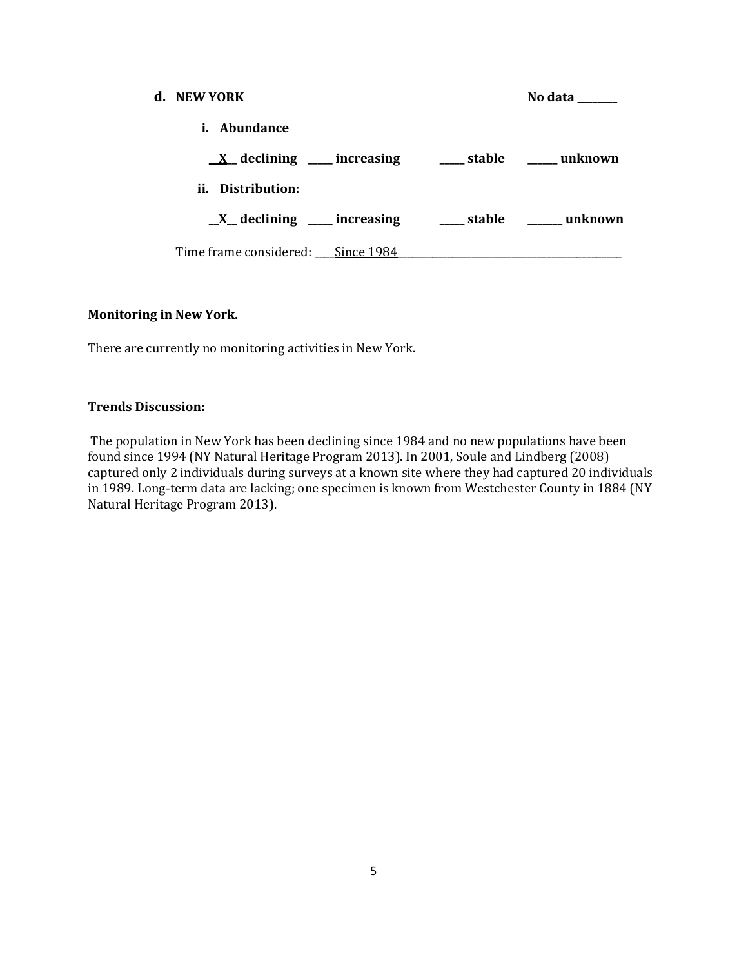| d. NEW YORK                                                          |  | No data |
|----------------------------------------------------------------------|--|---------|
| <i>i.</i> Abundance                                                  |  |         |
| $\underline{X}$ declining ____ increasing _____ stable _____ unknown |  |         |
| ii. Distribution:                                                    |  |         |
| $\underline{X}$ declining ___ increasing ___ stable ___ unknown      |  |         |
| Time frame considered: Since 1984                                    |  |         |

### **Monitoring in New York.**

There are currently no monitoring activities in New York.

### **Trends Discussion:**

The population in New York has been declining since 1984 and no new populations have been found since 1994 (NY Natural Heritage Program 2013). In 2001, Soule and Lindberg (2008) captured only 2 individuals during surveys at a known site where they had captured 20 individuals in 1989. Long-term data are lacking; one specimen is known from Westchester County in 1884 (NY Natural Heritage Program 2013).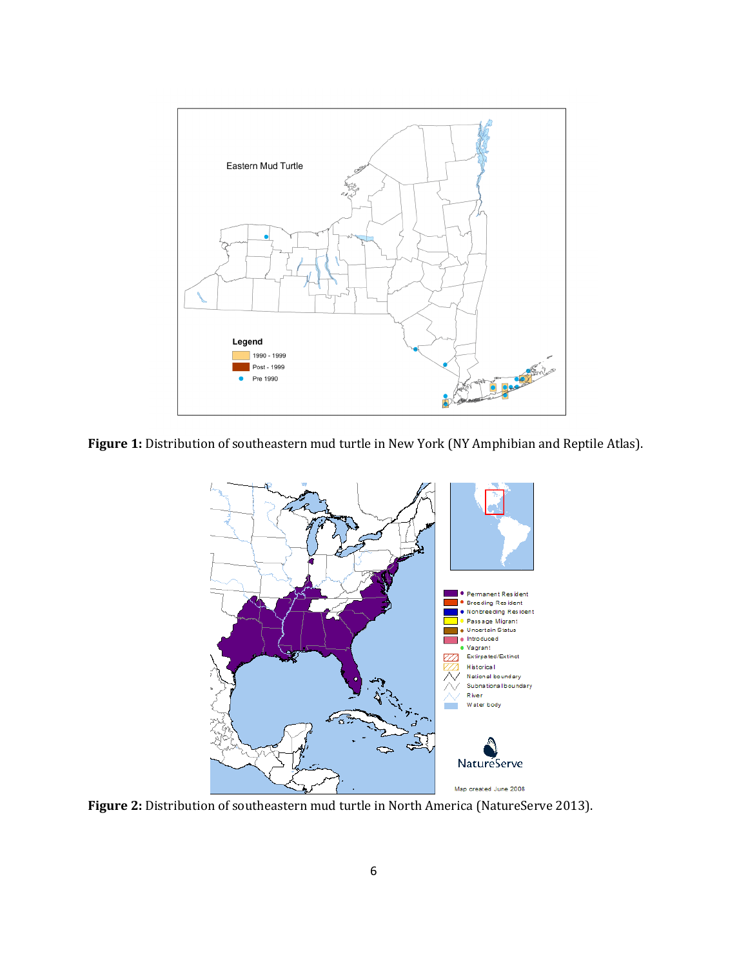

**Figure 1:** Distribution of southeastern mud turtle in New York (NY Amphibian and Reptile Atlas).



**Figure 2:** Distribution of southeastern mud turtle in North America (NatureServe 2013).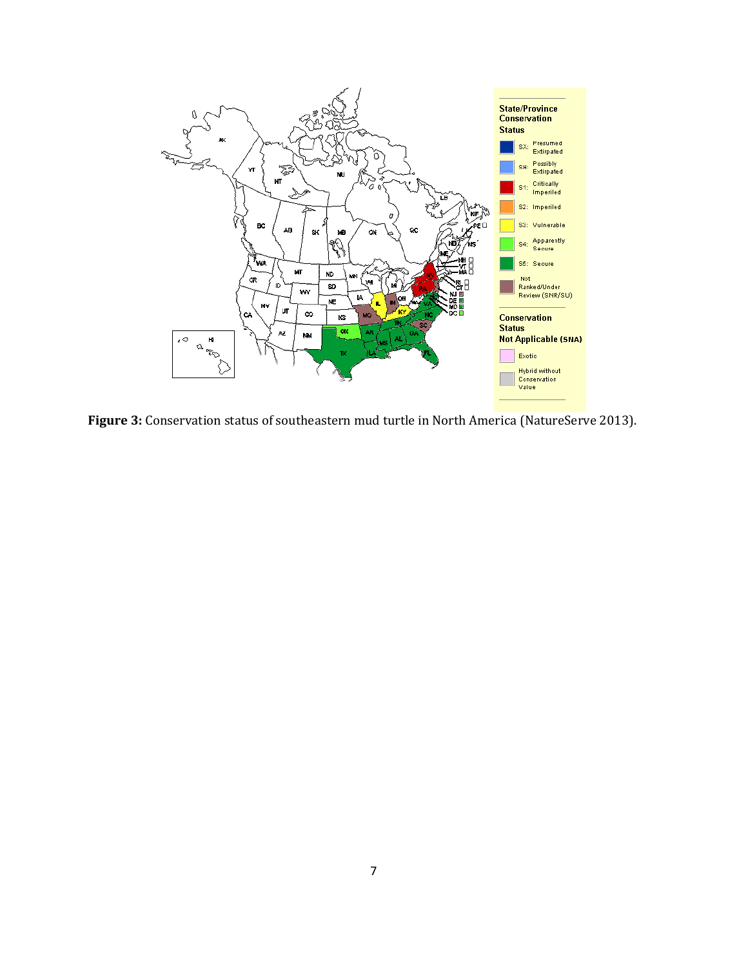

**Figure 3:** Conservation status of southeastern mud turtle in North America (NatureServe 2013).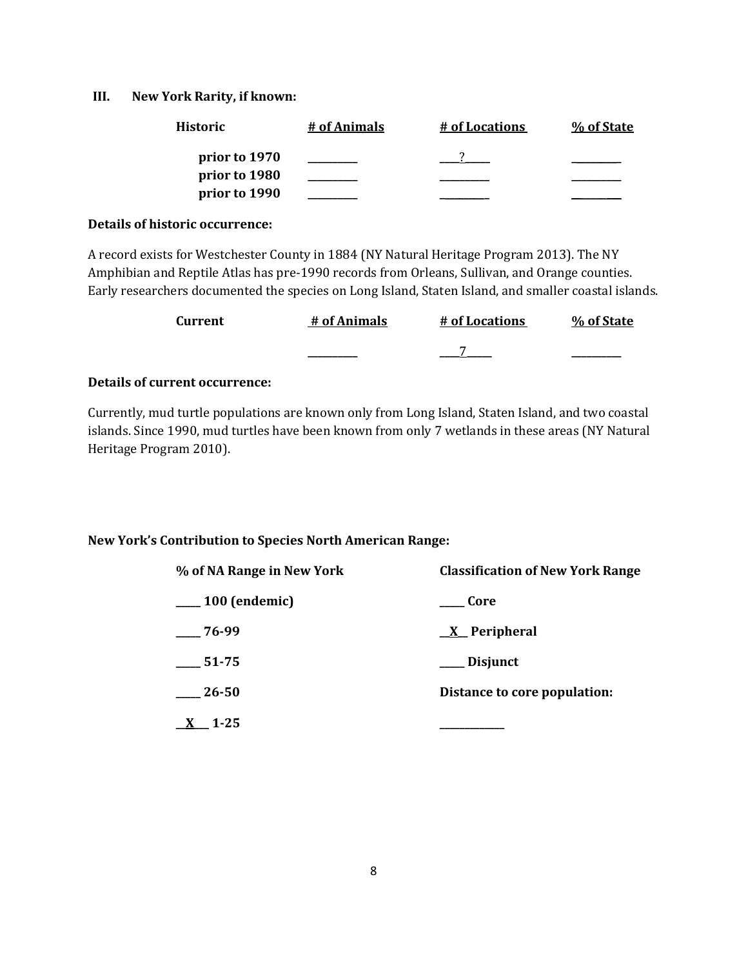### **III. New York Rarity, if known:**

| <b>Historic</b> | # of Animals | # of Locations | % of State |
|-----------------|--------------|----------------|------------|
| prior to 1970   |              |                |            |
| prior to 1980   |              |                |            |
| prior to 1990   |              |                |            |

#### **Details of historic occurrence:**

A record exists for Westchester County in 1884 (NY Natural Heritage Program 2013). The NY Amphibian and Reptile Atlas has pre-1990 records from Orleans, Sullivan, and Orange counties. Early researchers documented the species on Long Island, Staten Island, and smaller coastal islands.

| Current | # of Animals | # of Locations | % of State |
|---------|--------------|----------------|------------|
|         |              |                |            |

### **Details of current occurrence:**

Currently, mud turtle populations are known only from Long Island, Staten Island, and two coastal islands. Since 1990, mud turtles have been known from only 7 wetlands in these areas (NY Natural Heritage Program 2010).

### **New York's Contribution to Species North American Range:**

| % of NA Range in New York | <b>Classification of New York Range</b> |
|---------------------------|-----------------------------------------|
| $\frac{100}{2}$ (endemic) | ___ Core                                |
| $-76-99$                  | $X$ Peripheral                          |
| $-51-75$                  | ___ Disjunct                            |
| $-26-50$                  | Distance to core population:            |
| $\underline{X}$ 1-25      |                                         |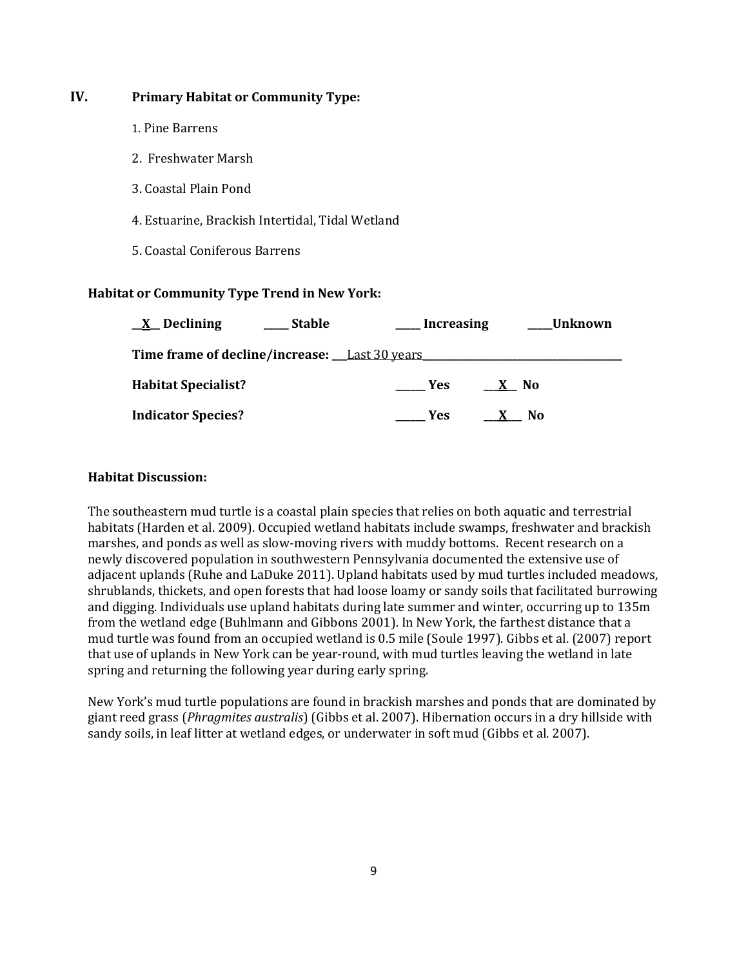# **IV. Primary Habitat or Community Type:**

- 1. Pine Barrens
- 2. Freshwater Marsh
- 3. Coastal Plain Pond
- 4. Estuarine, Brackish Intertidal, Tidal Wetland
- 5. Coastal Coniferous Barrens

### **Habitat or Community Type Trend in New York:**

| $X$ Declining                                 | Stable | <b>Increasing</b> | Unknown |
|-----------------------------------------------|--------|-------------------|---------|
| Time frame of decline/increase: Last 30 years |        |                   |         |
| <b>Habitat Specialist?</b>                    |        | Yes               | No.     |
| <b>Indicator Species?</b>                     |        | <b>Yes</b>        | No.     |

### **Habitat Discussion:**

The southeastern mud turtle is a coastal plain species that relies on both aquatic and terrestrial habitats (Harden et al. 2009). Occupied wetland habitats include swamps, freshwater and brackish marshes, and ponds as well as slow-moving rivers with muddy bottoms. Recent research on a newly discovered population in southwestern Pennsylvania documented the extensive use of adjacent uplands (Ruhe and LaDuke 2011). Upland habitats used by mud turtles included meadows, shrublands, thickets, and open forests that had loose loamy or sandy soils that facilitated burrowing and digging. Individuals use upland habitats during late summer and winter, occurring up to 135m from the wetland edge (Buhlmann and Gibbons 2001). In New York, the farthest distance that a mud turtle was found from an occupied wetland is 0.5 mile (Soule 1997). Gibbs et al. (2007) report that use of uplands in New York can be year-round, with mud turtles leaving the wetland in late spring and returning the following year during early spring.

New York's mud turtle populations are found in brackish marshes and ponds that are dominated by giant reed grass (*Phragmites australis*) (Gibbs et al. 2007). Hibernation occurs in a dry hillside with sandy soils, in leaf litter at wetland edges, or underwater in soft mud (Gibbs et al. 2007).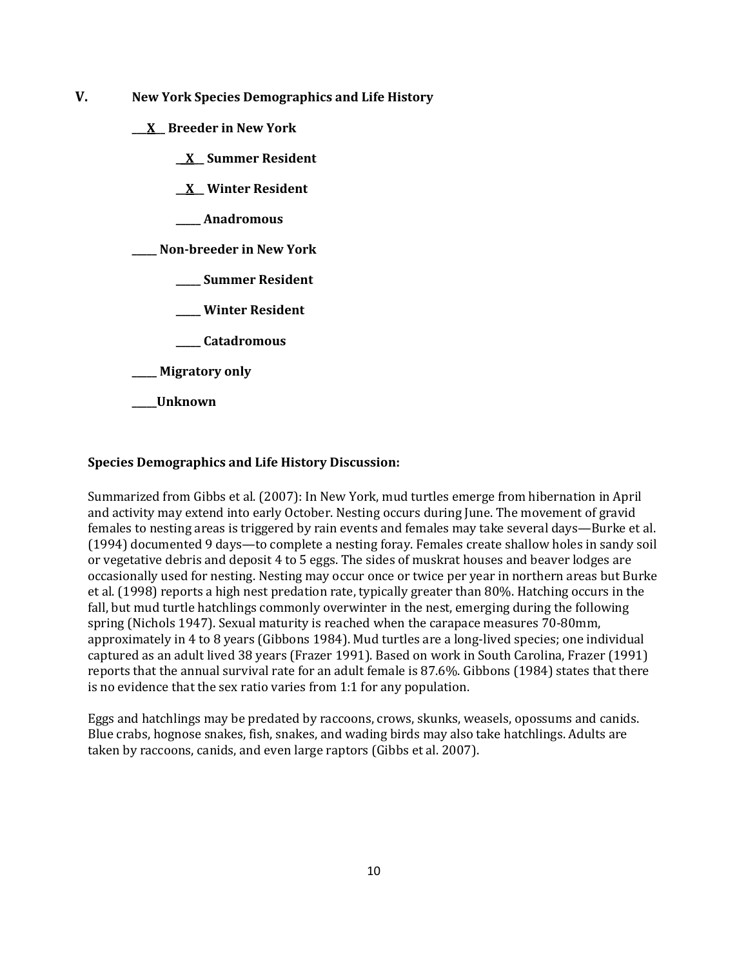- **V. New York Species Demographics and Life History**
	- **\_\_\_X\_\_ Breeder in New York**
		- **\_\_X\_\_ Summer Resident**
		- **\_\_X\_\_ Winter Resident**
		- **\_\_\_\_\_ Anadromous**

**\_\_\_\_\_ Non-breeder in New York**

- **\_\_\_\_\_ Summer Resident**
- **\_\_\_\_\_ Winter Resident**
- **\_\_\_\_\_ Catadromous**
- **\_\_\_\_\_ Migratory only**
- **\_\_\_\_\_Unknown**

#### **Species Demographics and Life History Discussion:**

Summarized from Gibbs et al. (2007): In New York, mud turtles emerge from hibernation in April and activity may extend into early October. Nesting occurs during June. The movement of gravid females to nesting areas is triggered by rain events and females may take several days—Burke et al. (1994) documented 9 days—to complete a nesting foray. Females create shallow holes in sandy soil or vegetative debris and deposit 4 to 5 eggs. The sides of muskrat houses and beaver lodges are occasionally used for nesting. Nesting may occur once or twice per year in northern areas but Burke et al. (1998) reports a high nest predation rate, typically greater than 80%. Hatching occurs in the fall, but mud turtle hatchlings commonly overwinter in the nest, emerging during the following spring (Nichols 1947). Sexual maturity is reached when the carapace measures 70-80mm, approximately in 4 to 8 years (Gibbons 1984). Mud turtles are a long-lived species; one individual captured as an adult lived 38 years (Frazer 1991). Based on work in South Carolina, Frazer (1991) reports that the annual survival rate for an adult female is 87.6%. Gibbons (1984) states that there is no evidence that the sex ratio varies from 1:1 for any population.

Eggs and hatchlings may be predated by raccoons, crows, skunks, weasels, opossums and canids. Blue crabs, hognose snakes, fish, snakes, and wading birds may also take hatchlings. Adults are taken by raccoons, canids, and even large raptors (Gibbs et al. 2007).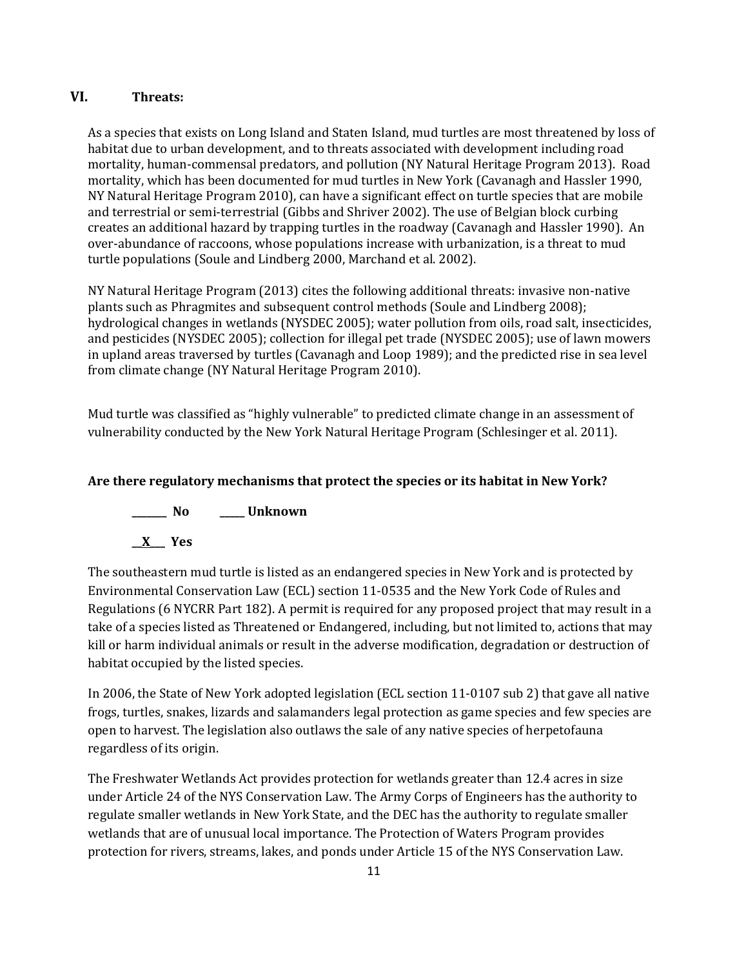# **VI. Threats:**

As a species that exists on Long Island and Staten Island, mud turtles are most threatened by loss of habitat due to urban development, and to threats associated with development including road mortality, human-commensal predators, and pollution (NY Natural Heritage Program 2013). Road mortality, which has been documented for mud turtles in New York (Cavanagh and Hassler 1990, NY Natural Heritage Program 2010), can have a significant effect on turtle species that are mobile and terrestrial or semi-terrestrial (Gibbs and Shriver 2002). The use of Belgian block curbing creates an additional hazard by trapping turtles in the roadway (Cavanagh and Hassler 1990). An over-abundance of raccoons, whose populations increase with urbanization, is a threat to mud turtle populations (Soule and Lindberg 2000, Marchand et al. 2002).

NY Natural Heritage Program (2013) cites the following additional threats: invasive non-native plants such as Phragmites and subsequent control methods (Soule and Lindberg 2008); hydrological changes in wetlands (NYSDEC 2005); water pollution from oils, road salt, insecticides, and pesticides (NYSDEC 2005); collection for illegal pet trade (NYSDEC 2005); use of lawn mowers in upland areas traversed by turtles (Cavanagh and Loop 1989); and the predicted rise in sea level from climate change (NY Natural Heritage Program 2010).

Mud turtle was classified as "highly vulnerable" to predicted climate change in an assessment of vulnerability conducted by the New York Natural Heritage Program (Schlesinger et al. 2011).

# **Are there regulatory mechanisms that protect the species or its habitat in New York?**

**\_\_\_\_\_\_\_ No \_\_\_\_\_ Unknown \_\_X\_\_\_ Yes** 

The southeastern mud turtle is listed as an endangered species in New York and is protected by Environmental Conservation Law (ECL) section 11-0535 and the New York Code of Rules and Regulations (6 NYCRR Part 182). A permit is required for any proposed project that may result in a take of a species listed as Threatened or Endangered, including, but not limited to, actions that may kill or harm individual animals or result in the adverse modification, degradation or destruction of habitat occupied by the listed species.

In 2006, the State of New York adopted legislation (ECL section 11-0107 sub 2) that gave all native frogs, turtles, snakes, lizards and salamanders legal protection as game species and few species are open to harvest. The legislation also outlaws the sale of any native species of herpetofauna regardless of its origin.

The Freshwater Wetlands Act provides protection for wetlands greater than 12.4 acres in size under Article 24 of the NYS Conservation Law. The Army Corps of Engineers has the authority to regulate smaller wetlands in New York State, and the DEC has the authority to regulate smaller wetlands that are of unusual local importance. The Protection of Waters Program provides protection for rivers, streams, lakes, and ponds under Article 15 of the NYS Conservation Law.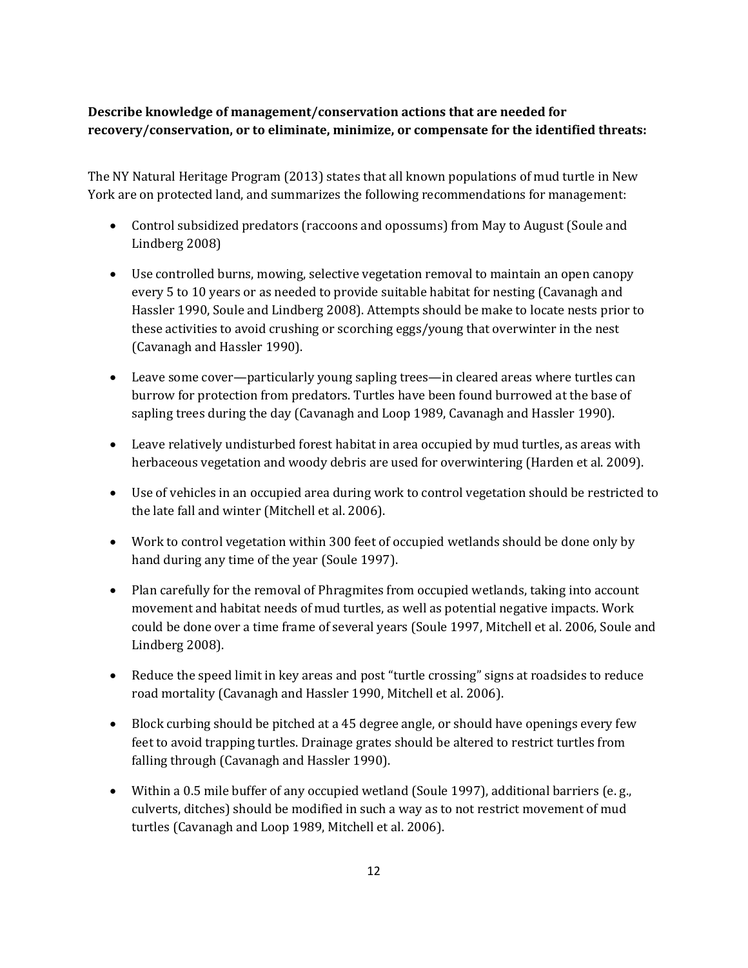# **Describe knowledge of management/conservation actions that are needed for recovery/conservation, or to eliminate, minimize, or compensate for the identified threats:**

The NY Natural Heritage Program (2013) states that all known populations of mud turtle in New York are on protected land, and summarizes the following recommendations for management:

- Control subsidized predators (raccoons and opossums) from May to August (Soule and Lindberg 2008)
- Use controlled burns, mowing, selective vegetation removal to maintain an open canopy every 5 to 10 years or as needed to provide suitable habitat for nesting (Cavanagh and Hassler 1990, Soule and Lindberg 2008). Attempts should be make to locate nests prior to these activities to avoid crushing or scorching eggs/young that overwinter in the nest (Cavanagh and Hassler 1990).
- Leave some cover—particularly young sapling trees—in cleared areas where turtles can burrow for protection from predators. Turtles have been found burrowed at the base of sapling trees during the day (Cavanagh and Loop 1989, Cavanagh and Hassler 1990).
- Leave relatively undisturbed forest habitat in area occupied by mud turtles, as areas with herbaceous vegetation and woody debris are used for overwintering (Harden et al. 2009).
- Use of vehicles in an occupied area during work to control vegetation should be restricted to the late fall and winter (Mitchell et al. 2006).
- Work to control vegetation within 300 feet of occupied wetlands should be done only by hand during any time of the year (Soule 1997).
- Plan carefully for the removal of Phragmites from occupied wetlands, taking into account movement and habitat needs of mud turtles, as well as potential negative impacts. Work could be done over a time frame of several years (Soule 1997, Mitchell et al. 2006, Soule and Lindberg 2008).
- Reduce the speed limit in key areas and post "turtle crossing" signs at roadsides to reduce road mortality (Cavanagh and Hassler 1990, Mitchell et al. 2006).
- Block curbing should be pitched at a 45 degree angle, or should have openings every few feet to avoid trapping turtles. Drainage grates should be altered to restrict turtles from falling through (Cavanagh and Hassler 1990).
- Within a 0.5 mile buffer of any occupied wetland (Soule 1997), additional barriers (e. g., culverts, ditches) should be modified in such a way as to not restrict movement of mud turtles (Cavanagh and Loop 1989, Mitchell et al. 2006).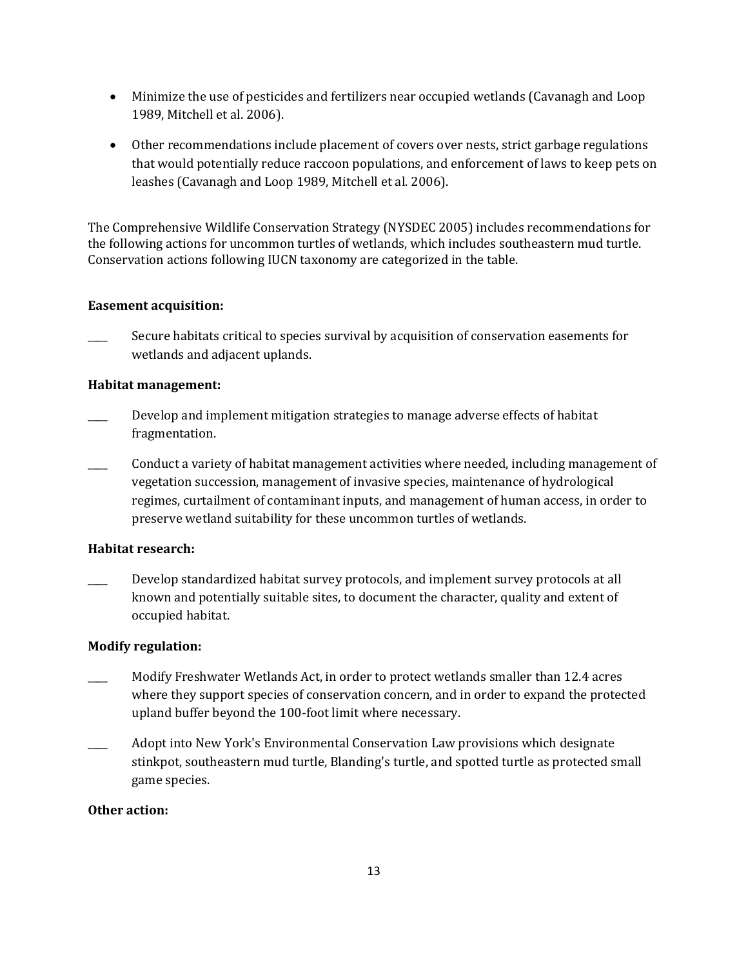- Minimize the use of pesticides and fertilizers near occupied wetlands (Cavanagh and Loop 1989, Mitchell et al. 2006).
- Other recommendations include placement of covers over nests, strict garbage regulations that would potentially reduce raccoon populations, and enforcement of laws to keep pets on leashes (Cavanagh and Loop 1989, Mitchell et al. 2006).

The Comprehensive Wildlife Conservation Strategy (NYSDEC 2005) includes recommendations for the following actions for uncommon turtles of wetlands, which includes southeastern mud turtle. Conservation actions following IUCN taxonomy are categorized in the table.

### **Easement acquisition:**

Secure habitats critical to species survival by acquisition of conservation easements for wetlands and adjacent uplands.

### **Habitat management:**

- \_\_\_\_ Develop and implement mitigation strategies to manage adverse effects of habitat fragmentation.
- Conduct a variety of habitat management activities where needed, including management of vegetation succession, management of invasive species, maintenance of hydrological regimes, curtailment of contaminant inputs, and management of human access, in order to preserve wetland suitability for these uncommon turtles of wetlands.

# **Habitat research:**

Develop standardized habitat survey protocols, and implement survey protocols at all known and potentially suitable sites, to document the character, quality and extent of occupied habitat.

### **Modify regulation:**

- \_\_\_\_ Modify Freshwater Wetlands Act, in order to protect wetlands smaller than 12.4 acres where they support species of conservation concern, and in order to expand the protected upland buffer beyond the 100-foot limit where necessary.
- \_\_\_\_ Adopt into New York's Environmental Conservation Law provisions which designate stinkpot, southeastern mud turtle, Blanding's turtle, and spotted turtle as protected small game species.

# **Other action:**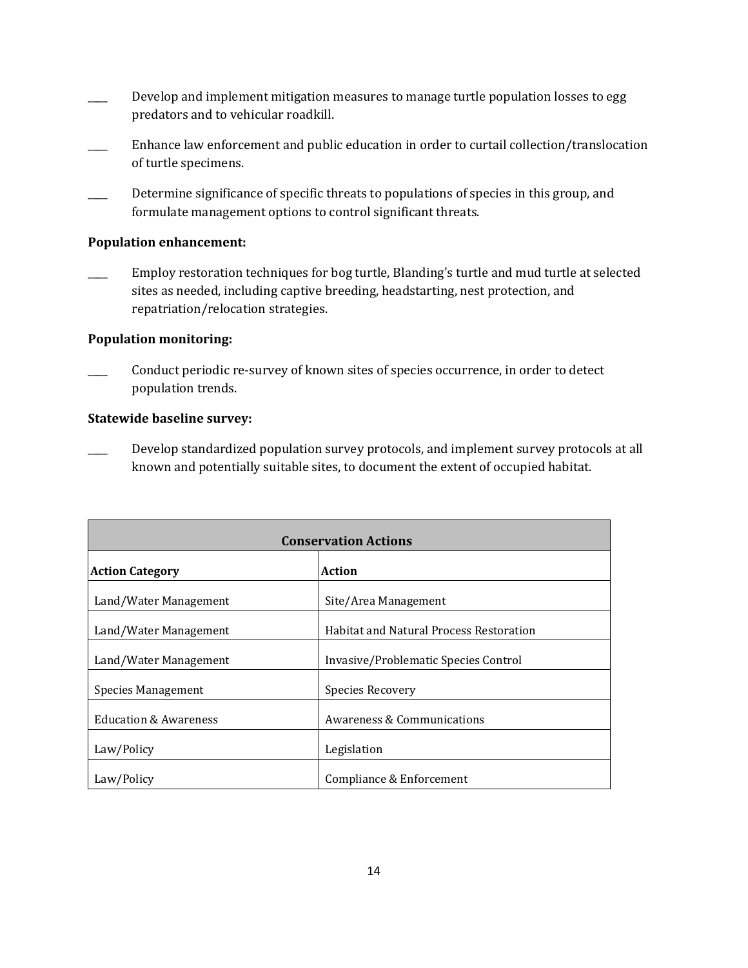- Develop and implement mitigation measures to manage turtle population losses to egg predators and to vehicular roadkill.
- \_\_\_\_ Enhance law enforcement and public education in order to curtail collection/translocation of turtle specimens.
- Determine significance of specific threats to populations of species in this group, and formulate management options to control significant threats.

### **Population enhancement:**

Employ restoration techniques for bog turtle, Blanding's turtle and mud turtle at selected sites as needed, including captive breeding, headstarting, nest protection, and repatriation/relocation strategies.

### **Population monitoring:**

Conduct periodic re-survey of known sites of species occurrence, in order to detect population trends.

### **Statewide baseline survey:**

Develop standardized population survey protocols, and implement survey protocols at all known and potentially suitable sites, to document the extent of occupied habitat.

| <b>Conservation Actions</b>      |                                                |  |
|----------------------------------|------------------------------------------------|--|
| <b>Action Category</b>           | Action                                         |  |
| Land/Water Management            | Site/Area Management                           |  |
| Land/Water Management            | <b>Habitat and Natural Process Restoration</b> |  |
| Land/Water Management            | Invasive/Problematic Species Control           |  |
| Species Management               | Species Recovery                               |  |
| <b>Education &amp; Awareness</b> | Awareness & Communications                     |  |
| Law/Policy                       | Legislation                                    |  |
| Law/Policy                       | Compliance & Enforcement                       |  |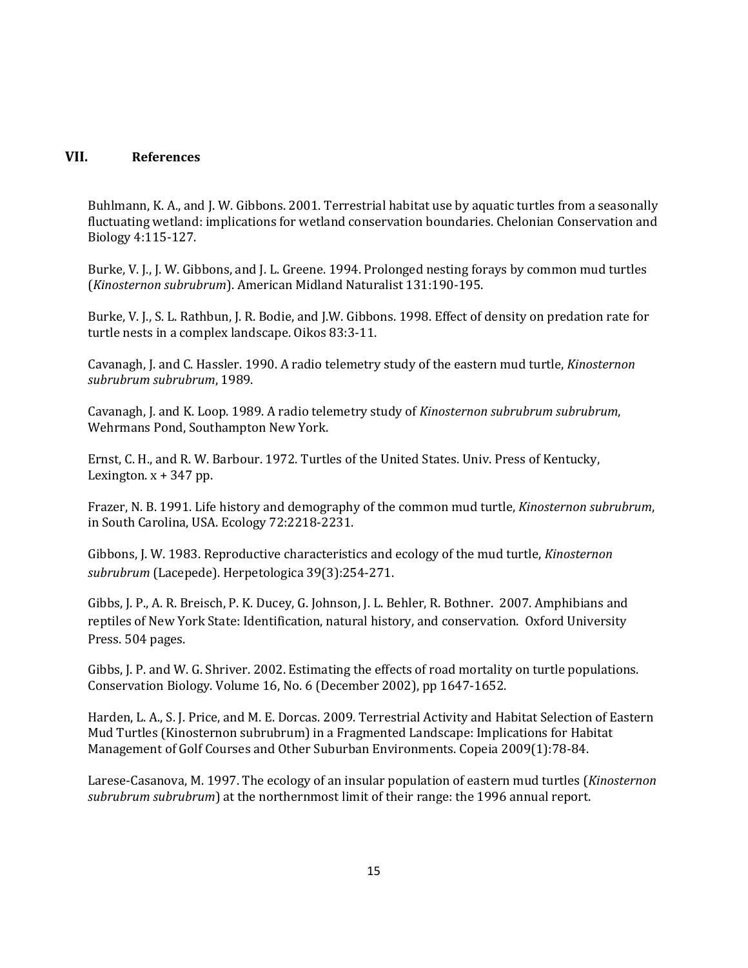# **VII. References**

Buhlmann, K. A., and J. W. Gibbons. 2001. Terrestrial habitat use by aquatic turtles from a seasonally fluctuating wetland: implications for wetland conservation boundaries. Chelonian Conservation and Biology 4:115-127.

Burke, V. J., J. W. Gibbons, and J. L. Greene. 1994. Prolonged nesting forays by common mud turtles (*Kinosternon subrubrum*). American Midland Naturalist 131:190-195.

Burke, V. J., S. L. Rathbun, J. R. Bodie, and J.W. Gibbons. 1998. Effect of density on predation rate for turtle nests in a complex landscape. Oikos 83:3-11.

Cavanagh, J. and C. Hassler. 1990. A radio telemetry study of the eastern mud turtle, *Kinosternon subrubrum subrubrum*, 1989.

Cavanagh, J. and K. Loop. 1989. A radio telemetry study of *Kinosternon subrubrum subrubrum*, Wehrmans Pond, Southampton New York.

Ernst, C. H., and R. W. Barbour. 1972. Turtles of the United States. Univ. Press of Kentucky, Lexington.  $x + 347$  pp.

Frazer, N. B. 1991. Life history and demography of the common mud turtle, *Kinosternon subrubrum*, in South Carolina, USA. Ecology 72:2218-2231.

Gibbons, J. W. 1983. Reproductive characteristics and ecology of the mud turtle, *Kinosternon subrubrum* (Lacepede). Herpetologica 39(3):254-271.

Gibbs, J. P., A. R. Breisch, P. K. Ducey, G. Johnson, J. L. Behler, R. Bothner. 2007. Amphibians and reptiles of New York State: Identification, natural history, and conservation. Oxford University Press. 504 pages.

Gibbs, J. P. and W. G. Shriver. 2002. Estimating the effects of road mortality on turtle populations. Conservation Biology. Volume 16, No. 6 (December 2002), pp 1647-1652.

Harden, L. A., S. J. Price, and M. E. Dorcas. 2009. Terrestrial Activity and Habitat Selection of Eastern Mud Turtles (Kinosternon subrubrum) in a Fragmented Landscape: Implications for Habitat Management of Golf Courses and Other Suburban Environments. Copeia 2009(1):78-84.

Larese-Casanova, M. 1997. The ecology of an insular population of eastern mud turtles (*Kinosternon subrubrum subrubrum*) at the northernmost limit of their range: the 1996 annual report.